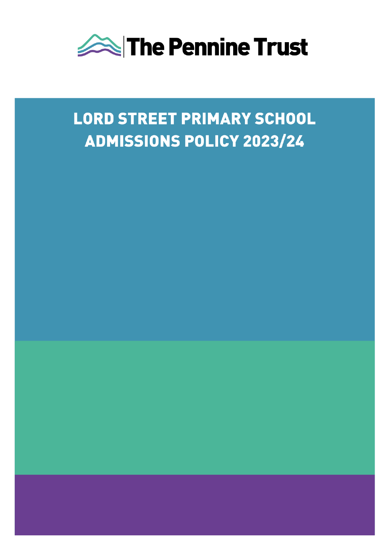

# **LORD STREET PRIMARY SCHOOL ADMISSIONS POLICY 2023/24**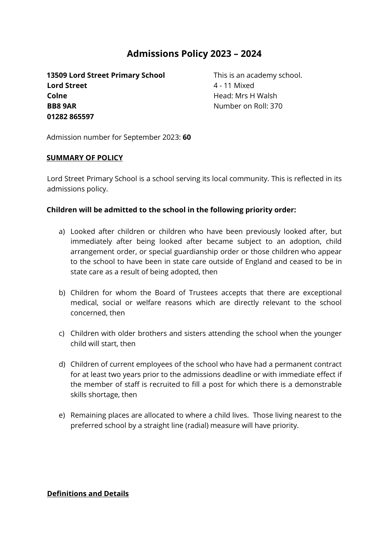## **Admissions Policy 2023 – 2024**

**13509 Lord Street Primary School** This is an academy school. **Lord Street** 4 - 11 Mixed **Colne Example 20 Head: Mrs H Walsh BB8 9AR** Number on Roll: 370 **01282 865597**

Admission number for September 2023: **60**

#### **SUMMARY OF POLICY**

Lord Street Primary School is a school serving its local community. This is reflected in its admissions policy.

#### **Children will be admitted to the school in the following priority order:**

- a) Looked after children or children who have been previously looked after, but immediately after being looked after became subject to an adoption, child arrangement order, or special guardianship order or those children who appear to the school to have been in state care outside of England and ceased to be in state care as a result of being adopted, then
- b) Children for whom the Board of Trustees accepts that there are exceptional medical, social or welfare reasons which are directly relevant to the school concerned, then
- c) Children with older brothers and sisters attending the school when the younger child will start, then
- d) Children of current employees of the school who have had a permanent contract for at least two years prior to the admissions deadline or with immediate effect if the member of staff is recruited to fill a post for which there is a demonstrable skills shortage, then
- e) Remaining places are allocated to where a child lives. Those living nearest to the preferred school by a straight line (radial) measure will have priority.

#### **Definitions and Details**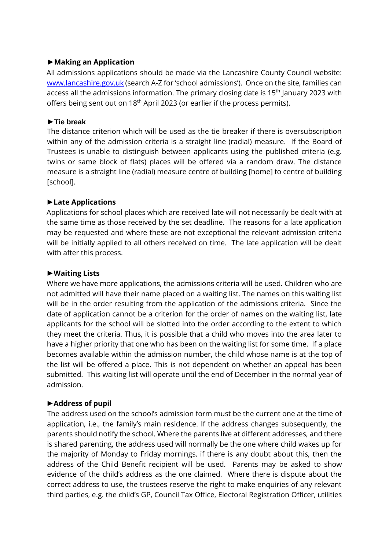#### **►Making an Application**

All admissions applications should be made via the Lancashire County Council website: [www.lancashire.gov.uk](http://www.lancashire.gov.uk/) (search A-Z for 'school admissions'). Once on the site, families can access all the admissions information. The primary closing date is 15<sup>th</sup> January 2023 with offers being sent out on 18<sup>th</sup> April 2023 (or earlier if the process permits).

## **►Tie break**

The distance criterion which will be used as the tie breaker if there is oversubscription within any of the admission criteria is a straight line (radial) measure. If the Board of Trustees is unable to distinguish between applicants using the published criteria (e.g. twins or same block of flats) places will be offered via a random draw. The distance measure is a straight line (radial) measure centre of building [home] to centre of building [school].

## **►Late Applications**

Applications for school places which are received late will not necessarily be dealt with at the same time as those received by the set deadline. The reasons for a late application may be requested and where these are not exceptional the relevant admission criteria will be initially applied to all others received on time. The late application will be dealt with after this process.

## **►Waiting Lists**

Where we have more applications, the admissions criteria will be used. Children who are not admitted will have their name placed on a waiting list. The names on this waiting list will be in the order resulting from the application of the admissions criteria. Since the date of application cannot be a criterion for the order of names on the waiting list, late applicants for the school will be slotted into the order according to the extent to which they meet the criteria. Thus, it is possible that a child who moves into the area later to have a higher priority that one who has been on the waiting list for some time. If a place becomes available within the admission number, the child whose name is at the top of the list will be offered a place. This is not dependent on whether an appeal has been submitted. This waiting list will operate until the end of December in the normal year of admission.

## **►Address of pupil**

The address used on the school's admission form must be the current one at the time of application, i.e., the family's main residence. If the address changes subsequently, the parents should notify the school. Where the parents live at different addresses, and there is shared parenting, the address used will normally be the one where child wakes up for the majority of Monday to Friday mornings, if there is any doubt about this, then the address of the Child Benefit recipient will be used. Parents may be asked to show evidence of the child's address as the one claimed. Where there is dispute about the correct address to use, the trustees reserve the right to make enquiries of any relevant third parties, e.g. the child's GP, Council Tax Office, Electoral Registration Officer, utilities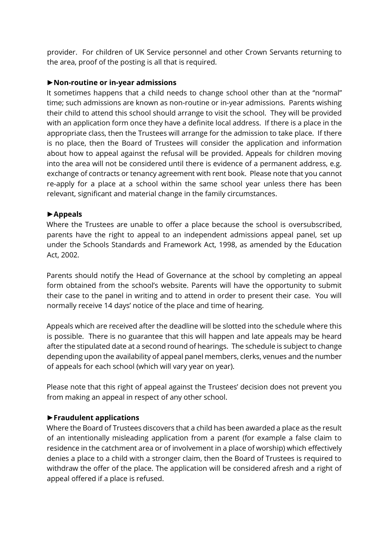provider. For children of UK Service personnel and other Crown Servants returning to the area, proof of the posting is all that is required.

#### **►Non-routine or in-year admissions**

It sometimes happens that a child needs to change school other than at the "normal" time; such admissions are known as non-routine or in-year admissions. Parents wishing their child to attend this school should arrange to visit the school. They will be provided with an application form once they have a definite local address. If there is a place in the appropriate class, then the Trustees will arrange for the admission to take place. If there is no place, then the Board of Trustees will consider the application and information about how to appeal against the refusal will be provided. Appeals for children moving into the area will not be considered until there is evidence of a permanent address, e.g. exchange of contracts or tenancy agreement with rent book. Please note that you cannot re-apply for a place at a school within the same school year unless there has been relevant, significant and material change in the family circumstances.

#### **►Appeals**

Where the Trustees are unable to offer a place because the school is oversubscribed, parents have the right to appeal to an independent admissions appeal panel, set up under the Schools Standards and Framework Act, 1998, as amended by the Education Act, 2002.

Parents should notify the Head of Governance at the school by completing an appeal form obtained from the school's website. Parents will have the opportunity to submit their case to the panel in writing and to attend in order to present their case. You will normally receive 14 days' notice of the place and time of hearing.

Appeals which are received after the deadline will be slotted into the schedule where this is possible. There is no guarantee that this will happen and late appeals may be heard after the stipulated date at a second round of hearings. The schedule is subject to change depending upon the availability of appeal panel members, clerks, venues and the number of appeals for each school (which will vary year on year).

Please note that this right of appeal against the Trustees' decision does not prevent you from making an appeal in respect of any other school.

#### **►Fraudulent applications**

Where the Board of Trustees discovers that a child has been awarded a place as the result of an intentionally misleading application from a parent (for example a false claim to residence in the catchment area or of involvement in a place of worship) which effectively denies a place to a child with a stronger claim, then the Board of Trustees is required to withdraw the offer of the place. The application will be considered afresh and a right of appeal offered if a place is refused.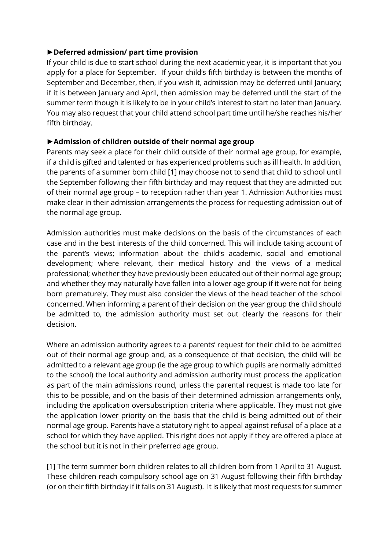## **►Deferred admission/ part time provision**

If your child is due to start school during the next academic year, it is important that you apply for a place for September. If your child's fifth birthday is between the months of September and December, then, if you wish it, admission may be deferred until January; if it is between January and April, then admission may be deferred until the start of the summer term though it is likely to be in your child's interest to start no later than January. You may also request that your child attend school part time until he/she reaches his/her fifth birthday.

## **►Admission of children outside of their normal age group**

Parents may seek a place for their child outside of their normal age group, for example, if a child is gifted and talented or has experienced problems such as ill health. In addition, the parents of a summer born child [1] may choose not to send that child to school until the September following their fifth birthday and may request that they are admitted out of their normal age group – to reception rather than year 1. Admission Authorities must make clear in their admission arrangements the process for requesting admission out of the normal age group.

Admission authorities must make decisions on the basis of the circumstances of each case and in the best interests of the child concerned. This will include taking account of the parent's views; information about the child's academic, social and emotional development; where relevant, their medical history and the views of a medical professional; whether they have previously been educated out of their normal age group; and whether they may naturally have fallen into a lower age group if it were not for being born prematurely. They must also consider the views of the head teacher of the school concerned. When informing a parent of their decision on the year group the child should be admitted to, the admission authority must set out clearly the reasons for their decision.

Where an admission authority agrees to a parents' request for their child to be admitted out of their normal age group and, as a consequence of that decision, the child will be admitted to a relevant age group (ie the age group to which pupils are normally admitted to the school) the local authority and admission authority must process the application as part of the main admissions round, unless the parental request is made too late for this to be possible, and on the basis of their determined admission arrangements only, including the application oversubscription criteria where applicable. They must not give the application lower priority on the basis that the child is being admitted out of their normal age group. Parents have a statutory right to appeal against refusal of a place at a school for which they have applied. This right does not apply if they are offered a place at the school but it is not in their preferred age group.

[1] The term summer born children relates to all children born from 1 April to 31 August. These children reach compulsory school age on 31 August following their fifth birthday (or on their fifth birthday if it falls on 31 August). It is likely that most requests for summer